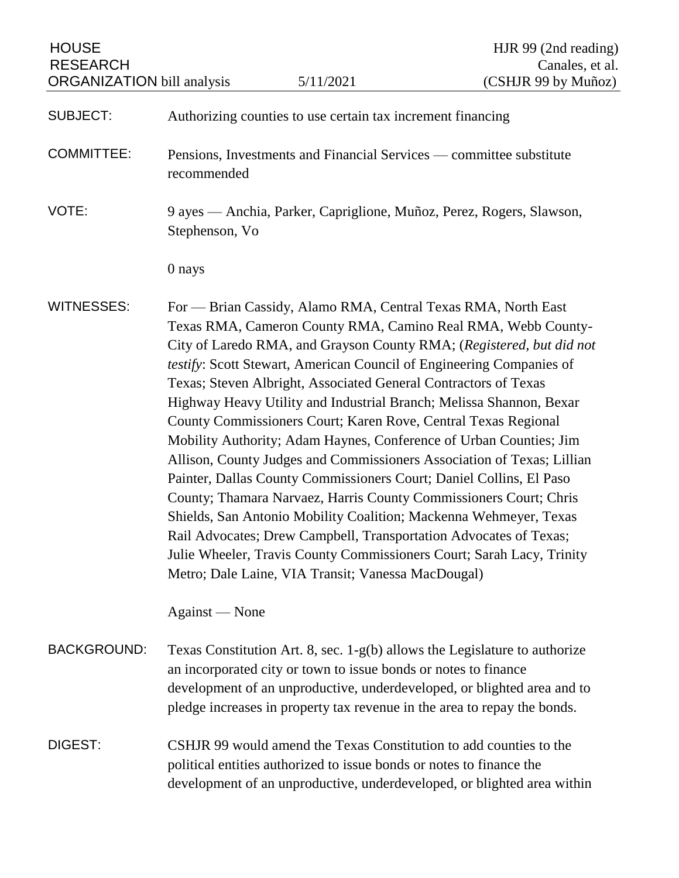HOUSE HOUSE HIR 99 (2nd reading) RESEARCH Canales, et al.

| <b>SUBJECT:</b> | Authorizing counties to use certain tax increment financing |  |  |  |
|-----------------|-------------------------------------------------------------|--|--|--|
|                 |                                                             |  |  |  |

- COMMITTEE: Pensions, Investments and Financial Services committee substitute recommended
- VOTE: 9 ayes Anchia, Parker, Capriglione, Muñoz, Perez, Rogers, Slawson, Stephenson, Vo

0 nays

WITNESSES: For — Brian Cassidy, Alamo RMA, Central Texas RMA, North East Texas RMA, Cameron County RMA, Camino Real RMA, Webb County-City of Laredo RMA, and Grayson County RMA; (*Registered, but did not testify*: Scott Stewart, American Council of Engineering Companies of Texas; Steven Albright, Associated General Contractors of Texas Highway Heavy Utility and Industrial Branch; Melissa Shannon, Bexar County Commissioners Court; Karen Rove, Central Texas Regional Mobility Authority; Adam Haynes, Conference of Urban Counties; Jim Allison, County Judges and Commissioners Association of Texas; Lillian Painter, Dallas County Commissioners Court; Daniel Collins, El Paso County; Thamara Narvaez, Harris County Commissioners Court; Chris Shields, San Antonio Mobility Coalition; Mackenna Wehmeyer, Texas Rail Advocates; Drew Campbell, Transportation Advocates of Texas; Julie Wheeler, Travis County Commissioners Court; Sarah Lacy, Trinity Metro; Dale Laine, VIA Transit; Vanessa MacDougal)

Against — None

- BACKGROUND: Texas Constitution Art. 8, sec. 1-g(b) allows the Legislature to authorize an incorporated city or town to issue bonds or notes to finance development of an unproductive, underdeveloped, or blighted area and to pledge increases in property tax revenue in the area to repay the bonds.
- DIGEST: CSHJR 99 would amend the Texas Constitution to add counties to the political entities authorized to issue bonds or notes to finance the development of an unproductive, underdeveloped, or blighted area within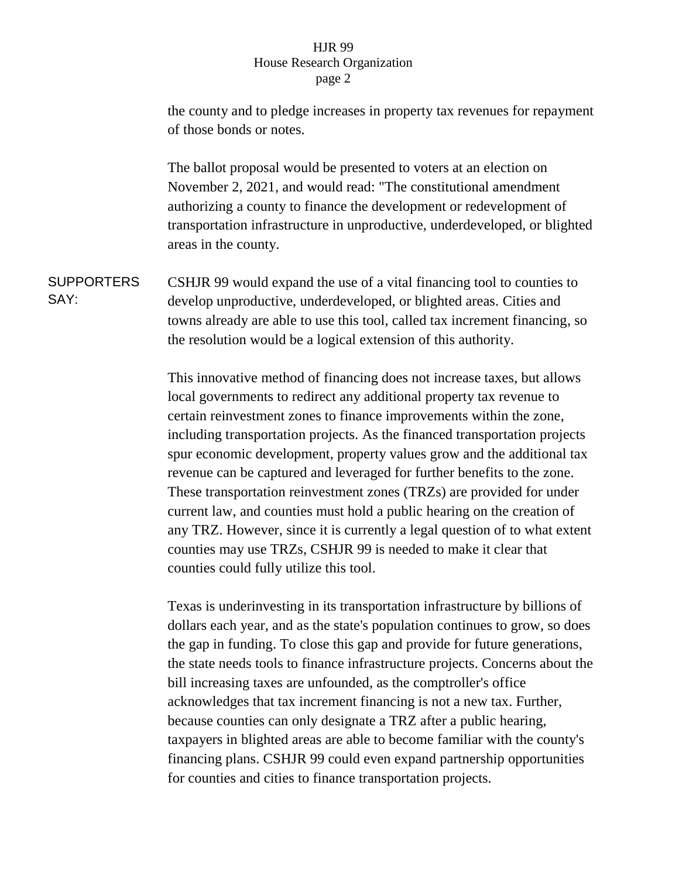## HJR 99 House Research Organization page 2

the county and to pledge increases in property tax revenues for repayment of those bonds or notes.

The ballot proposal would be presented to voters at an election on November 2, 2021, and would read: "The constitutional amendment authorizing a county to finance the development or redevelopment of transportation infrastructure in unproductive, underdeveloped, or blighted areas in the county.

**SUPPORTERS** SAY: CSHJR 99 would expand the use of a vital financing tool to counties to develop unproductive, underdeveloped, or blighted areas. Cities and towns already are able to use this tool, called tax increment financing, so the resolution would be a logical extension of this authority.

> This innovative method of financing does not increase taxes, but allows local governments to redirect any additional property tax revenue to certain reinvestment zones to finance improvements within the zone, including transportation projects. As the financed transportation projects spur economic development, property values grow and the additional tax revenue can be captured and leveraged for further benefits to the zone. These transportation reinvestment zones (TRZs) are provided for under current law, and counties must hold a public hearing on the creation of any TRZ. However, since it is currently a legal question of to what extent counties may use TRZs, CSHJR 99 is needed to make it clear that counties could fully utilize this tool.

> Texas is underinvesting in its transportation infrastructure by billions of dollars each year, and as the state's population continues to grow, so does the gap in funding. To close this gap and provide for future generations, the state needs tools to finance infrastructure projects. Concerns about the bill increasing taxes are unfounded, as the comptroller's office acknowledges that tax increment financing is not a new tax. Further, because counties can only designate a TRZ after a public hearing, taxpayers in blighted areas are able to become familiar with the county's financing plans. CSHJR 99 could even expand partnership opportunities for counties and cities to finance transportation projects.